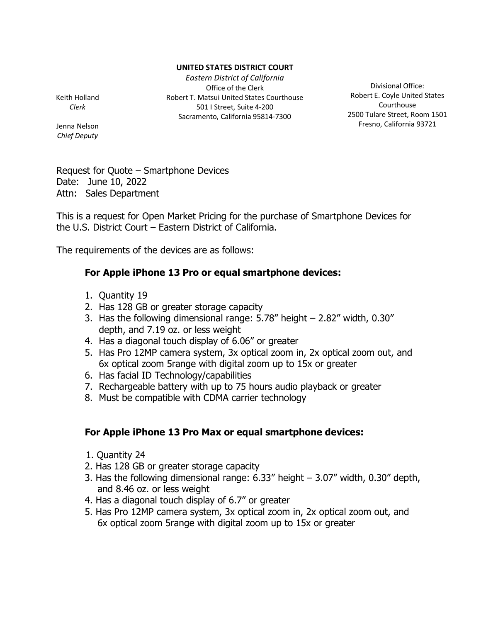## **UNITED STATES DISTRICT COURT**

*Eastern District of California* Office of the Clerk Robert T. Matsui United States Courthouse 501 I Street, Suite 4-200 Sacramento, California 95814-7300

Keith Holland *Clerk*

Jenna Nelson *Chief Deputy*

Divisional Office: Robert E. Coyle United States Courthouse 2500 Tulare Street, Room 1501 Fresno, California 93721

Request for Quote – Smartphone Devices Date: June 10, 2022 Attn: Sales Department

This is a request for Open Market Pricing for the purchase of Smartphone Devices for the U.S. District Court – Eastern District of California.

The requirements of the devices are as follows:

## **For Apple iPhone 13 Pro or equal smartphone devices:**

- 1. Quantity 19
- 2. Has 128 GB or greater storage capacity
- 3. Has the following dimensional range: 5.78" height 2.82" width, 0.30" depth, and 7.19 oz. or less weight
- 4. Has a diagonal touch display of 6.06" or greater
- 5. Has Pro 12MP camera system, 3x optical zoom in, 2x optical zoom out, and 6x optical zoom 5range with digital zoom up to 15x or greater
- 6. Has facial ID Technology/capabilities
- 7. Rechargeable battery with up to 75 hours audio playback or greater
- 8. Must be compatible with CDMA carrier technology

## **For Apple iPhone 13 Pro Max or equal smartphone devices:**

- 1. Quantity 24
- 2. Has 128 GB or greater storage capacity
- 3. Has the following dimensional range: 6.33" height 3.07" width, 0.30" depth, and 8.46 oz. or less weight
- 4. Has a diagonal touch display of 6.7" or greater
- 5. Has Pro 12MP camera system, 3x optical zoom in, 2x optical zoom out, and 6x optical zoom 5range with digital zoom up to 15x or greater